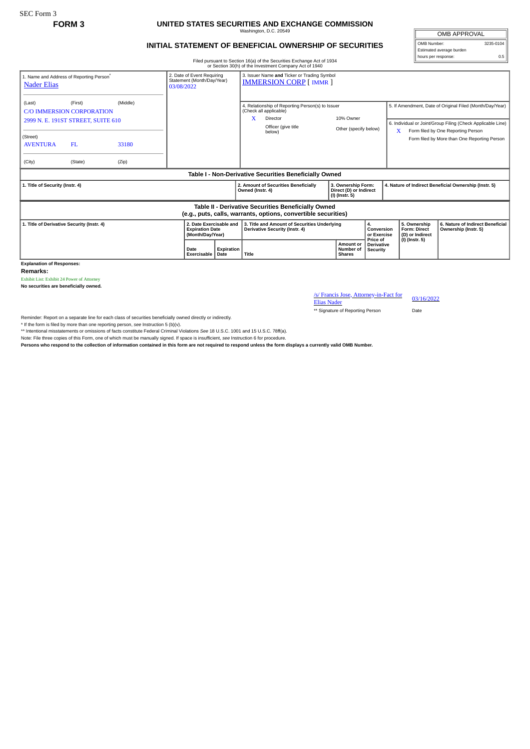## **FORM 3 UNITED STATES SECURITIES AND EXCHANGE COMMISSION**

Washington, D.C. 20549

OMB APPROVAL OMB Number: 3235-0104

hours per response: 0.5

Estimated average burden

## **INITIAL STATEMENT OF BENEFICIAL OWNERSHIP OF SECURITIES**

Filed pursuant to Section 16(a) of the Securities Exchange Act of 1934

|                                                                                                                       |                                                                                                    |                                                                        |                     |                                                                               |                                      | or Section 30(h) of the Investment Company Act of 1940                                                                  |                                         |                                                       |   |                                                        |                                                                                                                                                                                                               |
|-----------------------------------------------------------------------------------------------------------------------|----------------------------------------------------------------------------------------------------|------------------------------------------------------------------------|---------------------|-------------------------------------------------------------------------------|--------------------------------------|-------------------------------------------------------------------------------------------------------------------------|-----------------------------------------|-------------------------------------------------------|---|--------------------------------------------------------|---------------------------------------------------------------------------------------------------------------------------------------------------------------------------------------------------------------|
| <b>Nader Elias</b>                                                                                                    | 1. Name and Address of Reporting Person <sup>®</sup>                                               | 2. Date of Event Requiring<br>Statement (Month/Day/Year)<br>03/08/2022 |                     | 3. Issuer Name and Ticker or Trading Symbol<br><b>IMMERSION CORP [ IMMR ]</b> |                                      |                                                                                                                         |                                         |                                                       |   |                                                        |                                                                                                                                                                                                               |
| (Last)<br>(Street)<br><b>AVENTURA</b><br>(City)                                                                       | (First)<br><b>C/O IMMERSION CORPORATION</b><br>2999 N. E. 191ST STREET, SUITE 610<br>FL<br>(State) | (Middle)<br>33180<br>(Zip)                                             |                     |                                                                               | X                                    | 4. Relationship of Reporting Person(s) to Issuer<br>(Check all applicable)<br>Director<br>Officer (give title<br>below) | 10% Owner<br>Other (specify below)      |                                                       | X |                                                        | 5. If Amendment, Date of Original Filed (Month/Day/Year)<br>6. Individual or Joint/Group Filing (Check Applicable Line)<br>Form filed by One Reporting Person<br>Form filed by More than One Reporting Person |
| Table I - Non-Derivative Securities Beneficially Owned                                                                |                                                                                                    |                                                                        |                     |                                                                               |                                      |                                                                                                                         |                                         |                                                       |   |                                                        |                                                                                                                                                                                                               |
| 1. Title of Security (Instr. 4)                                                                                       |                                                                                                    |                                                                        |                     | Owned (Instr. 4)                                                              | 2. Amount of Securities Beneficially | 3. Ownership Form:<br>Direct (D) or Indirect<br>(I) (Instr. 5)                                                          |                                         | 4. Nature of Indirect Beneficial Ownership (Instr. 5) |   |                                                        |                                                                                                                                                                                                               |
| Table II - Derivative Securities Beneficially Owned<br>(e.g., puts, calls, warrants, options, convertible securities) |                                                                                                    |                                                                        |                     |                                                                               |                                      |                                                                                                                         |                                         |                                                       |   |                                                        |                                                                                                                                                                                                               |
| 1. Title of Derivative Security (Instr. 4)                                                                            |                                                                                                    |                                                                        |                     | 2. Date Exercisable and<br><b>Expiration Date</b><br>(Month/Day/Year)         |                                      | 3. Title and Amount of Securities Underlying<br>Derivative Security (Instr. 4)                                          |                                         | 4.<br>Conversion<br>or Exercise                       |   | 5. Ownership<br><b>Form: Direct</b><br>(D) or Indirect | 6. Nature of Indirect Beneficial<br>Ownership (Instr. 5)                                                                                                                                                      |
|                                                                                                                       |                                                                                                    |                                                                        | Date<br>Exercisable | Expiration<br>Date                                                            | Title                                |                                                                                                                         | Amount or<br>Number of<br><b>Shares</b> | Price of<br><b>Derivative</b><br>Security             |   | (I) (Instr. 5)                                         |                                                                                                                                                                                                               |

**Explanation of Responses:**

**Remarks:**

Exhibit List: Exhibit 24 Power of Attorney

**No securities are beneficially owned.**

/s/ Francis Jose, Attorney-in-Fact for Elias Nader 03/16/2022

\*\* Signature of Reporting Person Date

Reminder: Report on a separate line for each class of securities beneficially owned directly or indirectly.

\* If the form is filed by more than one reporting person, *see* Instruction 5 (b)(v).

\*\* Intentional misstatements or omissions of facts constitute Federal Criminal Violations *See* 18 U.S.C. 1001 and 15 U.S.C. 78ff(a).

Note: File three copies of this Form, one of which must be manually signed. If space is insufficient, see Instruction 6 for procedure.<br>Persons who respond to the collection of information contained in this form are not req